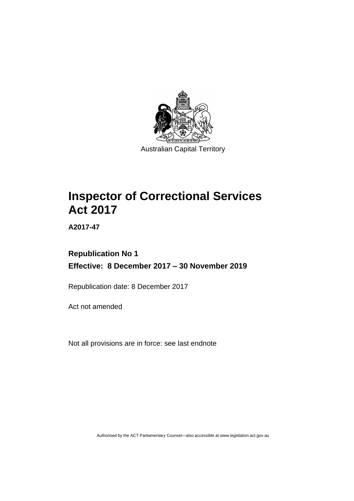

# **Inspector of Correctional Services Act 2017**

**A2017-47**

# **Republication No 1 Effective: 8 December 2017 – 30 November 2019**

Republication date: 8 December 2017

Act not amended

Not all provisions are in force: see last endnote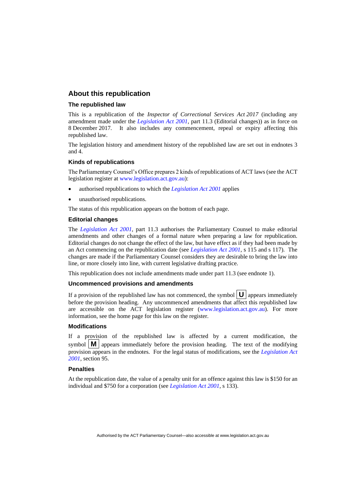### **About this republication**

### **The republished law**

This is a republication of the *Inspector of Correctional Services Act 2017* (including any amendment made under the *[Legislation Act 2001](http://www.legislation.act.gov.au/a/2001-14)*, part 11.3 (Editorial changes)) as in force on 8 December 2017*.* It also includes any commencement, repeal or expiry affecting this republished law.

The legislation history and amendment history of the republished law are set out in endnotes 3 and 4.

### **Kinds of republications**

The Parliamentary Counsel's Office prepares 2 kinds of republications of ACT laws (see the ACT legislation register at [www.legislation.act.gov.au\)](http://www.legislation.act.gov.au/):

- authorised republications to which the *[Legislation Act 2001](http://www.legislation.act.gov.au/a/2001-14)* applies
- unauthorised republications.

The status of this republication appears on the bottom of each page.

### **Editorial changes**

The *[Legislation Act 2001](http://www.legislation.act.gov.au/a/2001-14)*, part 11.3 authorises the Parliamentary Counsel to make editorial amendments and other changes of a formal nature when preparing a law for republication. Editorial changes do not change the effect of the law, but have effect as if they had been made by an Act commencing on the republication date (see *[Legislation Act 2001](http://www.legislation.act.gov.au/a/2001-14)*, s 115 and s 117). The changes are made if the Parliamentary Counsel considers they are desirable to bring the law into line, or more closely into line, with current legislative drafting practice.

This republication does not include amendments made under part 11.3 (see endnote 1).

### **Uncommenced provisions and amendments**

If a provision of the republished law has not commenced, the symbol  $\mathbf{U}$  appears immediately before the provision heading. Any uncommenced amendments that affect this republished law are accessible on the ACT legislation register [\(www.legislation.act.gov.au\)](http://www.legislation.act.gov.au/). For more information, see the home page for this law on the register.

### **Modifications**

If a provision of the republished law is affected by a current modification, the symbol  $\mathbf{M}$  appears immediately before the provision heading. The text of the modifying provision appears in the endnotes. For the legal status of modifications, see the *[Legislation Act](http://www.legislation.act.gov.au/a/2001-14)  [2001](http://www.legislation.act.gov.au/a/2001-14)*, section 95.

### **Penalties**

At the republication date, the value of a penalty unit for an offence against this law is \$150 for an individual and \$750 for a corporation (see *[Legislation Act 2001](http://www.legislation.act.gov.au/a/2001-14)*, s 133).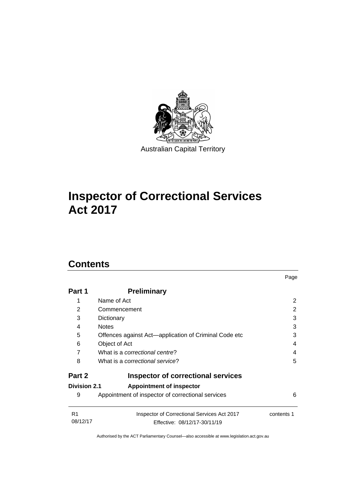

# **Inspector of Correctional Services Act 2017**

# **Contents**

| Part 1                     | <b>Preliminary</b>                                                          |            |
|----------------------------|-----------------------------------------------------------------------------|------------|
| 1                          | Name of Act                                                                 | 2          |
| 2                          | Commencement                                                                | 2          |
| 3                          | Dictionary                                                                  | 3          |
| 4                          | <b>Notes</b>                                                                | 3          |
| 5                          | Offences against Act—application of Criminal Code etc                       | 3          |
| 6                          | Object of Act                                                               | 4          |
| 7                          | What is a correctional centre?                                              | 4          |
| 8                          | What is a correctional service?                                             | 5          |
| Part 2                     | <b>Inspector of correctional services</b>                                   |            |
| <b>Division 2.1</b>        | <b>Appointment of inspector</b>                                             |            |
| 9                          | Appointment of inspector of correctional services                           | 6          |
| R <sub>1</sub><br>08/12/17 | Inspector of Correctional Services Act 2017<br>Effective: 08/12/17-30/11/19 | contents 1 |

Page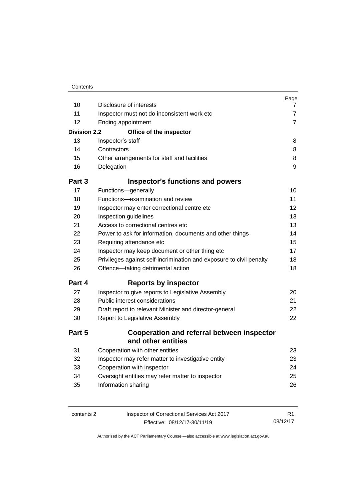| 10                  | Disclosure of interests                                                 | Page<br>$\mathbf{7}$ |
|---------------------|-------------------------------------------------------------------------|----------------------|
| 11                  | Inspector must not do inconsistent work etc                             | $\overline{7}$       |
| 12                  | Ending appointment                                                      | $\overline{7}$       |
| <b>Division 2.2</b> | Office of the inspector                                                 |                      |
| 13                  | Inspector's staff                                                       | 8                    |
| 14                  | Contractors                                                             | 8                    |
| 15                  | Other arrangements for staff and facilities                             | 8                    |
| 16                  | Delegation                                                              | 9                    |
| Part 3              | <b>Inspector's functions and powers</b>                                 |                      |
| 17                  | Functions-generally                                                     | 10                   |
| 18                  | Functions-examination and review                                        | 11                   |
| 19                  | Inspector may enter correctional centre etc                             | 12                   |
| 20                  | Inspection guidelines                                                   | 13                   |
| 21                  | Access to correctional centres etc                                      | 13                   |
| 22                  | Power to ask for information, documents and other things                | 14                   |
| 23                  | Requiring attendance etc                                                | 15                   |
| 24                  | Inspector may keep document or other thing etc                          | 17                   |
| 25                  | Privileges against self-incrimination and exposure to civil penalty     | 18                   |
| 26                  | Offence-taking detrimental action                                       | 18                   |
| Part 4              | <b>Reports by inspector</b>                                             |                      |
| 27                  | Inspector to give reports to Legislative Assembly                       | 20                   |
| 28                  | Public interest considerations                                          | 21                   |
| 29                  | Draft report to relevant Minister and director-general                  | 22                   |
| 30                  | Report to Legislative Assembly                                          | 22                   |
| Part 5              | <b>Cooperation and referral between inspector</b><br>and other entities |                      |
| 31                  | Cooperation with other entities                                         | 23                   |
| 32                  | Inspector may refer matter to investigative entity                      | 23                   |
| 33                  | Cooperation with inspector                                              | 24                   |
| 34                  | Oversight entities may refer matter to inspector                        | 25                   |
| 35                  | Information sharing                                                     | 26                   |
|                     |                                                                         |                      |

| contents 2 |  |  |
|------------|--|--|
|------------|--|--|

Inspector of Correctional Services Act 2017 Effective: 08/12/17-30/11/19

R1 08/12/17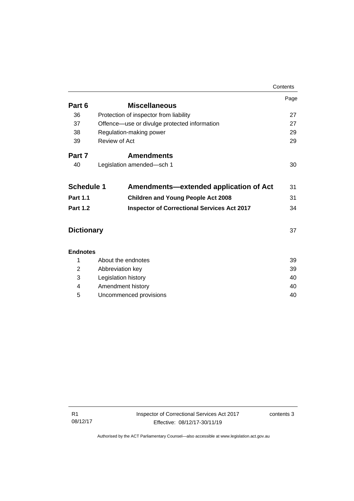|                   |                                        |                                                    | Contents |
|-------------------|----------------------------------------|----------------------------------------------------|----------|
|                   |                                        |                                                    | Page     |
| Part 6            |                                        | <b>Miscellaneous</b>                               |          |
| 36                | Protection of inspector from liability |                                                    | 27       |
| 37                |                                        | Offence—use or divulge protected information       | 27       |
| 38                | Regulation-making power                |                                                    | 29       |
| 39                | Review of Act                          |                                                    | 29       |
| Part 7            |                                        | <b>Amendments</b>                                  |          |
| 40                | Legislation amended-sch 1              |                                                    | 30       |
| <b>Schedule 1</b> |                                        | Amendments-extended application of Act             | 31       |
| <b>Part 1.1</b>   |                                        | <b>Children and Young People Act 2008</b>          | 31       |
| <b>Part 1.2</b>   |                                        | <b>Inspector of Correctional Services Act 2017</b> | 34       |
| <b>Dictionary</b> |                                        |                                                    | 37       |
| <b>Endnotes</b>   |                                        |                                                    |          |
| 1                 | About the endnotes                     |                                                    | 39       |
| 2                 | Abbreviation key                       |                                                    | 39       |
|                   |                                        |                                                    |          |

|   | <b>ADDIEVIQUUI KEV</b> | ວອ |
|---|------------------------|----|
| 3 | Legislation history    | 40 |
| 4 | Amendment history      | 40 |
| 5 | Uncommenced provisions | 40 |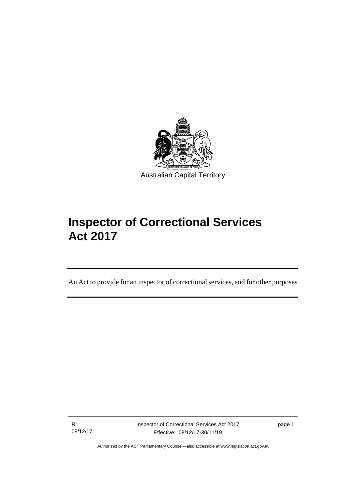

# **Inspector of Correctional Services Act 2017**

An Act to provide for an inspector of correctional services, and for other purposes

R1 08/12/17

I

Inspector of Correctional Services Act 2017 Effective: 08/12/17-30/11/19

page 1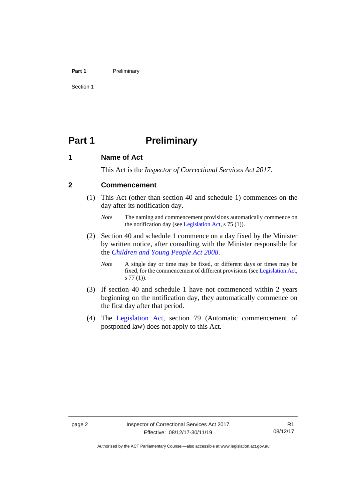### **Part 1** Preliminary

Section 1

# <span id="page-7-0"></span>**Part 1 Preliminary**

### <span id="page-7-1"></span>**1 Name of Act**

This Act is the *Inspector of Correctional Services Act 2017*.

### <span id="page-7-2"></span>**2 Commencement**

(1) This Act (other than section 40 and schedule 1) commences on the day after its notification day.

- (2) Section 40 and schedule 1 commence on a day fixed by the Minister by written notice, after consulting with the Minister responsible for the *[Children and Young People Act](http://www.legislation.act.gov.au/a/2008-19) 2008*.
	- *Note* A single day or time may be fixed, or different days or times may be fixed, for the commencement of different provisions (se[e Legislation Act,](http://www.legislation.act.gov.au/a/2001-14) s 77 (1)).
- (3) If section 40 and schedule 1 have not commenced within 2 years beginning on the notification day, they automatically commence on the first day after that period.
- (4) The [Legislation Act,](http://www.legislation.act.gov.au/a/2001-14) section 79 (Automatic commencement of postponed law) does not apply to this Act.

*Note* The naming and commencement provisions automatically commence on the notification day (see [Legislation Act,](http://www.legislation.act.gov.au/a/2001-14) s 75 (1)).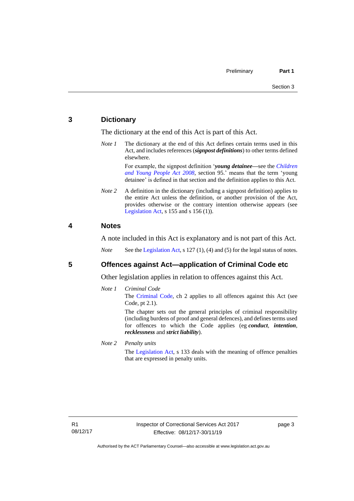### <span id="page-8-0"></span>**3 Dictionary**

The dictionary at the end of this Act is part of this Act.

*Note 1* The dictionary at the end of this Act defines certain terms used in this Act, and includes references (*signpost definitions*) to other terms defined elsewhere.

> For example, the signpost definition '*young detainee—*see the *[Children](http://www.legislation.act.gov.au/a/2008-19)  [and Young People Act 2008](http://www.legislation.act.gov.au/a/2008-19)*, section 95.' means that the term 'young detainee' is defined in that section and the definition applies to this Act.

*Note* 2 A definition in the dictionary (including a signpost definition) applies to the entire Act unless the definition, or another provision of the Act, provides otherwise or the contrary intention otherwise appears (see [Legislation Act,](http://www.legislation.act.gov.au/a/2001-14)  $s$  155 and  $s$  156 (1)).

### <span id="page-8-1"></span>**4 Notes**

A note included in this Act is explanatory and is not part of this Act.

*Note* See the [Legislation Act,](http://www.legislation.act.gov.au/a/2001-14) s 127 (1), (4) and (5) for the legal status of notes.

### <span id="page-8-2"></span>**5 Offences against Act—application of Criminal Code etc**

Other legislation applies in relation to offences against this Act.

*Note 1 Criminal Code*

The [Criminal Code,](http://www.legislation.act.gov.au/a/2002-51) ch 2 applies to all offences against this Act (see Code, pt 2.1).

The chapter sets out the general principles of criminal responsibility (including burdens of proof and general defences), and defines terms used for offences to which the Code applies (eg *conduct*, *intention*, *recklessness* and *strict liability*).

*Note 2 Penalty units*

The [Legislation Act,](http://www.legislation.act.gov.au/a/2001-14) s 133 deals with the meaning of offence penalties that are expressed in penalty units.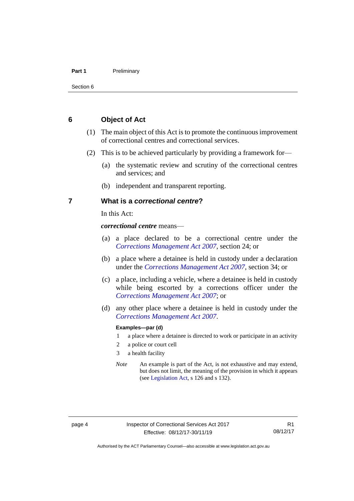### **Part 1** Preliminary

### <span id="page-9-0"></span>**6 Object of Act**

- (1) The main object of this Act is to promote the continuous improvement of correctional centres and correctional services.
- (2) This is to be achieved particularly by providing a framework for—
	- (a) the systematic review and scrutiny of the correctional centres and services; and
	- (b) independent and transparent reporting.

### <span id="page-9-1"></span>**7 What is a** *correctional centre***?**

In this Act:

*correctional centre* means—

- (a) a place declared to be a correctional centre under the *[Corrections Management Act 2007](http://www.legislation.act.gov.au/a/2007-15)*, section 24; or
- (b) a place where a detainee is held in custody under a declaration under the *[Corrections Management Act 2007](http://www.legislation.act.gov.au/a/2007-15)*, section 34; or
- (c) a place, including a vehicle, where a detainee is held in custody while being escorted by a corrections officer under the *[Corrections Management Act 2007](http://www.legislation.act.gov.au/a/2007-15)*; or
- (d) any other place where a detainee is held in custody under the *[Corrections Management Act 2007](http://www.legislation.act.gov.au/a/2007-15)*.

### **Examples—par (d)**

- 1 a place where a detainee is directed to work or participate in an activity
- 2 a police or court cell
- 3 a health facility
- *Note* An example is part of the Act, is not exhaustive and may extend, but does not limit, the meaning of the provision in which it appears (se[e Legislation Act,](http://www.legislation.act.gov.au/a/2001-14) s 126 and s 132).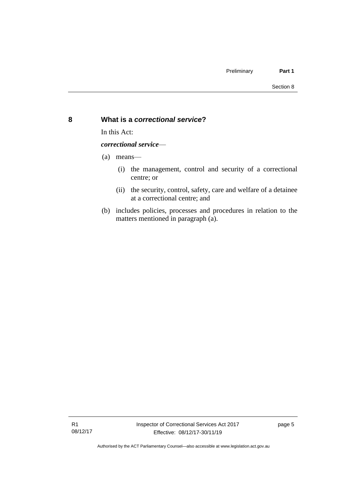### <span id="page-10-0"></span>**8 What is a** *correctional service***?**

In this Act:

*correctional service*—

(a) means—

- (i) the management, control and security of a correctional centre; or
- (ii) the security, control, safety, care and welfare of a detainee at a correctional centre; and
- (b) includes policies, processes and procedures in relation to the matters mentioned in paragraph (a).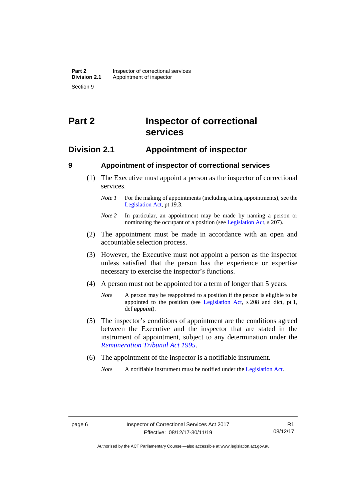# <span id="page-11-0"></span>**Part 2 Inspector of correctional services**

### <span id="page-11-1"></span>**Division 2.1 Appointment of inspector**

<span id="page-11-2"></span>

### **9 Appointment of inspector of correctional services**

- (1) The Executive must appoint a person as the inspector of correctional services.
	- *Note 1* For the making of appointments (including acting appointments), see the [Legislation Act,](http://www.legislation.act.gov.au/a/2001-14) pt 19.3.
	- *Note 2* In particular, an appointment may be made by naming a person or nominating the occupant of a position (see [Legislation Act,](http://www.legislation.act.gov.au/a/2001-14) s 207).
- (2) The appointment must be made in accordance with an open and accountable selection process.
- (3) However, the Executive must not appoint a person as the inspector unless satisfied that the person has the experience or expertise necessary to exercise the inspector's functions.
- (4) A person must not be appointed for a term of longer than 5 years.
	- *Note* A person may be reappointed to a position if the person is eligible to be appointed to the position (see [Legislation Act,](http://www.legislation.act.gov.au/a/2001-14) s 208 and dict, pt 1, def *appoint*).
- (5) The inspector's conditions of appointment are the conditions agreed between the Executive and the inspector that are stated in the instrument of appointment, subject to any determination under the *[Remuneration Tribunal Act 1995](http://www.legislation.act.gov.au/a/1995-55)*.
- (6) The appointment of the inspector is a notifiable instrument.

*Note* A notifiable instrument must be notified under the [Legislation Act.](http://www.legislation.act.gov.au/a/2001-14)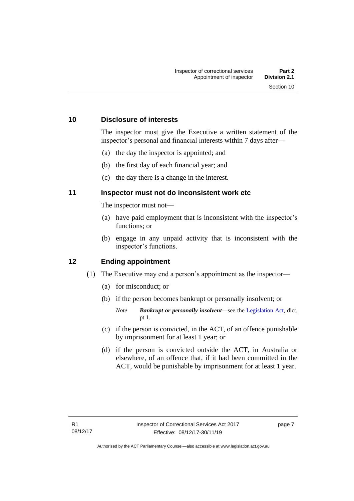### <span id="page-12-0"></span>**10 Disclosure of interests**

The inspector must give the Executive a written statement of the inspector's personal and financial interests within 7 days after—

- (a) the day the inspector is appointed; and
- (b) the first day of each financial year; and
- (c) the day there is a change in the interest.

### <span id="page-12-1"></span>**11 Inspector must not do inconsistent work etc**

The inspector must not—

- (a) have paid employment that is inconsistent with the inspector's functions; or
- (b) engage in any unpaid activity that is inconsistent with the inspector's functions.

### <span id="page-12-2"></span>**12 Ending appointment**

- (1) The Executive may end a person's appointment as the inspector—
	- (a) for misconduct; or
	- (b) if the person becomes bankrupt or personally insolvent; or
		- *Note Bankrupt or personally insolvent*—see the [Legislation Act,](http://www.legislation.act.gov.au/a/2001-14) dict, pt 1.
	- (c) if the person is convicted, in the ACT, of an offence punishable by imprisonment for at least 1 year; or
	- (d) if the person is convicted outside the ACT, in Australia or elsewhere, of an offence that, if it had been committed in the ACT, would be punishable by imprisonment for at least 1 year.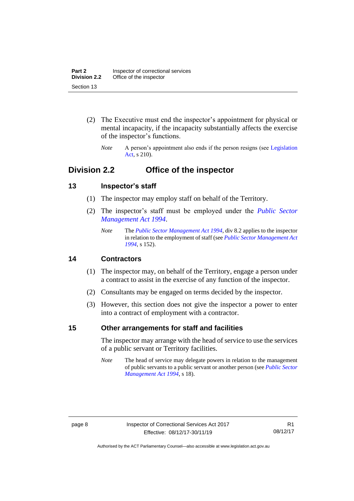- (2) The Executive must end the inspector's appointment for physical or mental incapacity, if the incapacity substantially affects the exercise of the inspector's functions.
	- *Note* A person's appointment also ends if the person resigns (see Legislation [Act,](http://www.legislation.act.gov.au/a/2001-14) s 210).

## <span id="page-13-0"></span>**Division 2.2 Office of the inspector**

### <span id="page-13-1"></span>**13 Inspector's staff**

- (1) The inspector may employ staff on behalf of the Territory.
- (2) The inspector's staff must be employed under the *[Public Sector](http://www.legislation.act.gov.au/a/1994-37)  [Management Act 1994](http://www.legislation.act.gov.au/a/1994-37)*.
	- *Note* The *[Public Sector Management Act 1994](http://www.legislation.act.gov.au/a/1994-37)*, div 8.2 applies to the inspector in relation to the employment of staff (see *[Public Sector Management Act](http://www.legislation.act.gov.au/a/1994-37)  [1994](http://www.legislation.act.gov.au/a/1994-37)*, s 152).

### <span id="page-13-2"></span>**14 Contractors**

- (1) The inspector may, on behalf of the Territory, engage a person under a contract to assist in the exercise of any function of the inspector.
- (2) Consultants may be engaged on terms decided by the inspector.
- (3) However, this section does not give the inspector a power to enter into a contract of employment with a contractor.

### <span id="page-13-3"></span>**15 Other arrangements for staff and facilities**

The inspector may arrange with the head of service to use the services of a public servant or Territory facilities.

*Note* The head of service may delegate powers in relation to the management of public servants to a public servant or another person (see *[Public Sector](http://www.legislation.act.gov.au/a/1994-37)  [Management Act 1994](http://www.legislation.act.gov.au/a/1994-37)*, s 18).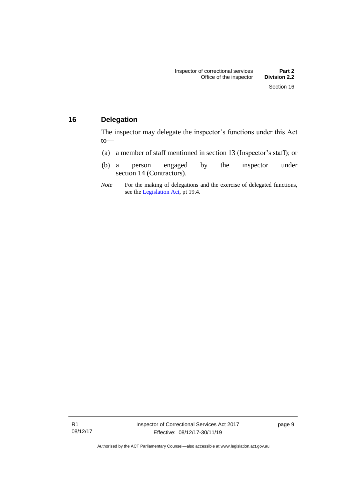### <span id="page-14-0"></span>**16 Delegation**

The inspector may delegate the inspector's functions under this Act to—

- (a) a member of staff mentioned in section 13 (Inspector's staff); or
- (b) a person engaged by the inspector under section 14 (Contractors).
- *Note* For the making of delegations and the exercise of delegated functions, see the [Legislation Act,](http://www.legislation.act.gov.au/a/2001-14) pt 19.4.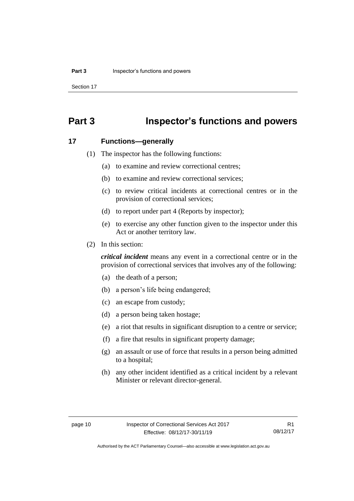Section 17

# <span id="page-15-0"></span>**Part 3 Inspector's functions and powers**

### <span id="page-15-1"></span>**17 Functions—generally**

- (1) The inspector has the following functions:
	- (a) to examine and review correctional centres;
	- (b) to examine and review correctional services;
	- (c) to review critical incidents at correctional centres or in the provision of correctional services;
	- (d) to report under part 4 (Reports by inspector);
	- (e) to exercise any other function given to the inspector under this Act or another territory law.
- (2) In this section:

*critical incident* means any event in a correctional centre or in the provision of correctional services that involves any of the following:

- (a) the death of a person;
- (b) a person's life being endangered;
- (c) an escape from custody;
- (d) a person being taken hostage;
- (e) a riot that results in significant disruption to a centre or service;
- (f) a fire that results in significant property damage;
- (g) an assault or use of force that results in a person being admitted to a hospital;
- (h) any other incident identified as a critical incident by a relevant Minister or relevant director-general.

R1 08/12/17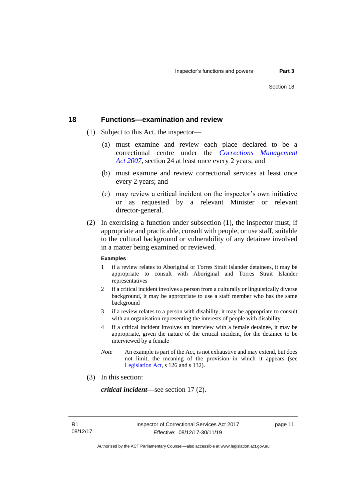### <span id="page-16-0"></span>**18 Functions—examination and review**

- (1) Subject to this Act, the inspector—
	- (a) must examine and review each place declared to be a correctional centre under the *[Corrections Management](http://www.legislation.act.gov.au/a/2007-15)  Act [2007](http://www.legislation.act.gov.au/a/2007-15)*, section 24 at least once every 2 years; and
	- (b) must examine and review correctional services at least once every 2 years; and
	- (c) may review a critical incident on the inspector's own initiative or as requested by a relevant Minister or relevant director-general.
- (2) In exercising a function under subsection (1), the inspector must, if appropriate and practicable, consult with people, or use staff, suitable to the cultural background or vulnerability of any detainee involved in a matter being examined or reviewed.

### **Examples**

- 1 if a review relates to Aboriginal or Torres Strait Islander detainees, it may be appropriate to consult with Aboriginal and Torres Strait Islander representatives
- 2 if a critical incident involves a person from a culturally or linguistically diverse background, it may be appropriate to use a staff member who has the same background
- 3 if a review relates to a person with disability, it may be appropriate to consult with an organisation representing the interests of people with disability
- 4 if a critical incident involves an interview with a female detainee, it may be appropriate, given the nature of the critical incident, for the detainee to be interviewed by a female
- *Note* An example is part of the Act, is not exhaustive and may extend, but does not limit, the meaning of the provision in which it appears (see [Legislation Act,](http://www.legislation.act.gov.au/a/2001-14) s 126 and s 132).
- (3) In this section:

*critical incident—*see section 17 (2).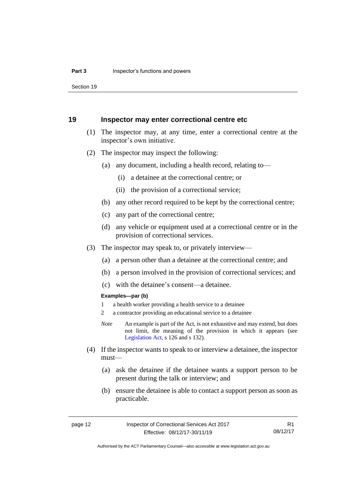Section 19

### <span id="page-17-0"></span>**19 Inspector may enter correctional centre etc**

- (1) The inspector may, at any time, enter a correctional centre at the inspector's own initiative.
- (2) The inspector may inspect the following:
	- (a) any document, including a health record, relating to—
		- (i) a detainee at the correctional centre; or
		- (ii) the provision of a correctional service;
	- (b) any other record required to be kept by the correctional centre;
	- (c) any part of the correctional centre;
	- (d) any vehicle or equipment used at a correctional centre or in the provision of correctional services.
- (3) The inspector may speak to, or privately interview—
	- (a) a person other than a detainee at the correctional centre; and
	- (b) a person involved in the provision of correctional services; and
	- (c) with the detainee's consent—a detainee.

### **Examples—par (b)**

- 1 a health worker providing a health service to a detainee
- 2 a contractor providing an educational service to a detainee
- *Note* An example is part of the Act, is not exhaustive and may extend, but does not limit, the meaning of the provision in which it appears (see [Legislation Act,](http://www.legislation.act.gov.au/a/2001-14) s 126 and s 132).
- (4) If the inspector wants to speak to or interview a detainee, the inspector must—
	- (a) ask the detainee if the detainee wants a support person to be present during the talk or interview; and
	- (b) ensure the detainee is able to contact a support person as soon as practicable.

R1 08/12/17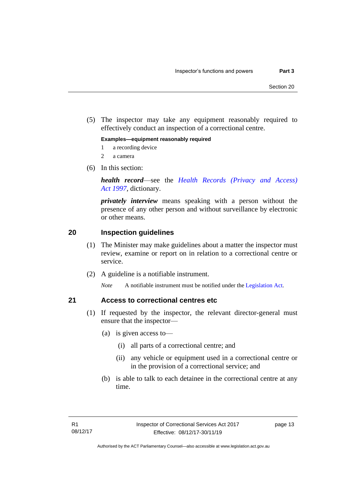(5) The inspector may take any equipment reasonably required to effectively conduct an inspection of a correctional centre.

**Examples—equipment reasonably required**

- 1 a recording device
- 2 a camera
- (6) In this section:

*health record*—see the *[Health Records \(Privacy and Access\)](http://www.legislation.act.gov.au/a/1997-125)  Act [1997](http://www.legislation.act.gov.au/a/1997-125)*, dictionary.

*privately interview* means speaking with a person without the presence of any other person and without surveillance by electronic or other means.

### <span id="page-18-0"></span>**20 Inspection guidelines**

- (1) The Minister may make guidelines about a matter the inspector must review, examine or report on in relation to a correctional centre or service.
- (2) A guideline is a notifiable instrument.

*Note* A notifiable instrument must be notified under the [Legislation Act.](http://www.legislation.act.gov.au/a/2001-14)

### <span id="page-18-1"></span>**21 Access to correctional centres etc**

- (1) If requested by the inspector, the relevant director-general must ensure that the inspector—
	- (a) is given access to—
		- (i) all parts of a correctional centre; and
		- (ii) any vehicle or equipment used in a correctional centre or in the provision of a correctional service; and
	- (b) is able to talk to each detainee in the correctional centre at any time.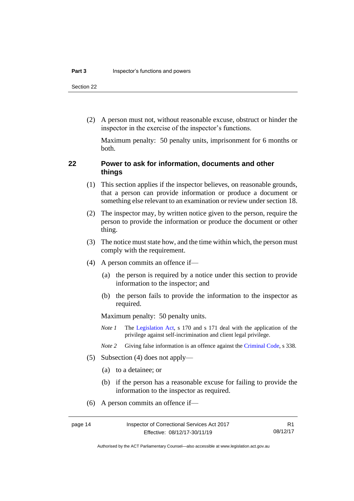Section 22

(2) A person must not, without reasonable excuse, obstruct or hinder the inspector in the exercise of the inspector's functions.

Maximum penalty: 50 penalty units, imprisonment for 6 months or both.

### <span id="page-19-0"></span>**22 Power to ask for information, documents and other things**

- (1) This section applies if the inspector believes, on reasonable grounds, that a person can provide information or produce a document or something else relevant to an examination or review under section 18.
- (2) The inspector may, by written notice given to the person, require the person to provide the information or produce the document or other thing.
- (3) The notice must state how, and the time within which, the person must comply with the requirement.
- (4) A person commits an offence if—
	- (a) the person is required by a notice under this section to provide information to the inspector; and
	- (b) the person fails to provide the information to the inspector as required.

Maximum penalty: 50 penalty units.

- *Note 1* The [Legislation Act,](http://www.legislation.act.gov.au/a/2001-14) s 170 and s 171 deal with the application of the privilege against self-incrimination and client legal privilege.
- *Note 2* Giving false information is an offence against th[e Criminal Code,](http://www.legislation.act.gov.au/a/2002-51) s 338.
- (5) Subsection (4) does not apply—
	- (a) to a detainee; or
	- (b) if the person has a reasonable excuse for failing to provide the information to the inspector as required.
- (6) A person commits an offence if—

R1 08/12/17

Authorised by the ACT Parliamentary Counsel—also accessible at www.legislation.act.gov.au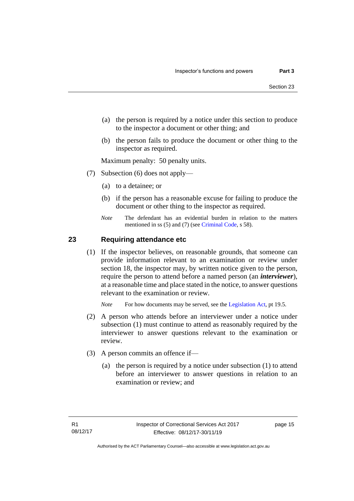- (a) the person is required by a notice under this section to produce to the inspector a document or other thing; and
- (b) the person fails to produce the document or other thing to the inspector as required.

Maximum penalty: 50 penalty units.

- (7) Subsection (6) does not apply—
	- (a) to a detainee; or
	- (b) if the person has a reasonable excuse for failing to produce the document or other thing to the inspector as required.
	- *Note* The defendant has an evidential burden in relation to the matters mentioned in ss (5) and (7) (see [Criminal Code,](http://www.legislation.act.gov.au/a/2002-51) s 58).

### <span id="page-20-0"></span>**23 Requiring attendance etc**

(1) If the inspector believes, on reasonable grounds, that someone can provide information relevant to an examination or review under section 18, the inspector may, by written notice given to the person, require the person to attend before a named person (an *interviewer*), at a reasonable time and place stated in the notice, to answer questions relevant to the examination or review.

*Note* For how documents may be served, see th[e Legislation Act,](http://www.legislation.act.gov.au/a/2001-14) pt 19.5.

- (2) A person who attends before an interviewer under a notice under subsection (1) must continue to attend as reasonably required by the interviewer to answer questions relevant to the examination or review.
- (3) A person commits an offence if—
	- (a) the person is required by a notice under subsection (1) to attend before an interviewer to answer questions in relation to an examination or review; and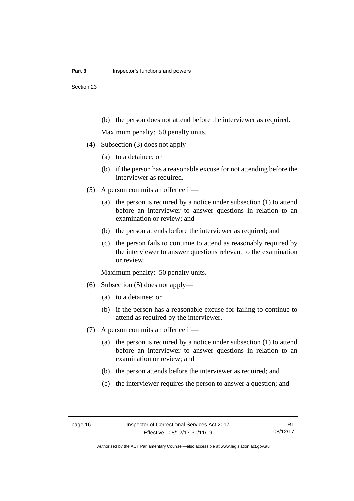(b) the person does not attend before the interviewer as required.

Maximum penalty: 50 penalty units.

- (4) Subsection (3) does not apply—
	- (a) to a detainee; or
	- (b) if the person has a reasonable excuse for not attending before the interviewer as required.
- (5) A person commits an offence if—
	- (a) the person is required by a notice under subsection (1) to attend before an interviewer to answer questions in relation to an examination or review; and
	- (b) the person attends before the interviewer as required; and
	- (c) the person fails to continue to attend as reasonably required by the interviewer to answer questions relevant to the examination or review.

Maximum penalty: 50 penalty units.

- (6) Subsection (5) does not apply—
	- (a) to a detainee; or
	- (b) if the person has a reasonable excuse for failing to continue to attend as required by the interviewer.
- (7) A person commits an offence if—
	- (a) the person is required by a notice under subsection (1) to attend before an interviewer to answer questions in relation to an examination or review; and
	- (b) the person attends before the interviewer as required; and
	- (c) the interviewer requires the person to answer a question; and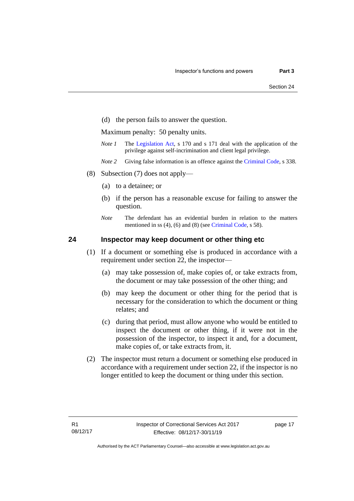(d) the person fails to answer the question.

Maximum penalty: 50 penalty units.

- *Note 1* The [Legislation Act,](http://www.legislation.act.gov.au/a/2001-14) s 170 and s 171 deal with the application of the privilege against self-incrimination and client legal privilege.
- *Note 2* Giving false information is an offence against th[e Criminal Code,](http://www.legislation.act.gov.au/a/2002-51) s 338.
- (8) Subsection (7) does not apply—
	- (a) to a detainee; or
	- (b) if the person has a reasonable excuse for failing to answer the question.
	- *Note* The defendant has an evidential burden in relation to the matters mentioned in ss (4), (6) and (8) (see [Criminal Code,](http://www.legislation.act.gov.au/a/2002-51) s 58).

### <span id="page-22-0"></span>**24 Inspector may keep document or other thing etc**

- (1) If a document or something else is produced in accordance with a requirement under section 22, the inspector—
	- (a) may take possession of, make copies of, or take extracts from, the document or may take possession of the other thing; and
	- (b) may keep the document or other thing for the period that is necessary for the consideration to which the document or thing relates; and
	- (c) during that period, must allow anyone who would be entitled to inspect the document or other thing, if it were not in the possession of the inspector, to inspect it and, for a document, make copies of, or take extracts from, it.
- (2) The inspector must return a document or something else produced in accordance with a requirement under section 22, if the inspector is no longer entitled to keep the document or thing under this section.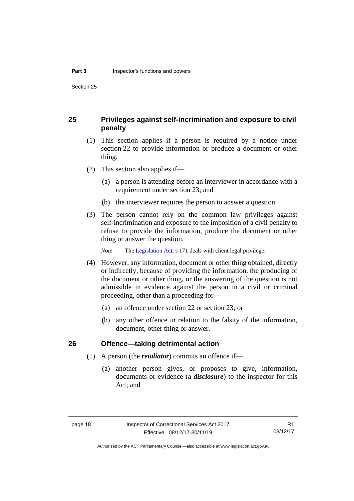Section 25

### <span id="page-23-0"></span>**25 Privileges against self-incrimination and exposure to civil penalty**

- (1) This section applies if a person is required by a notice under section 22 to provide information or produce a document or other thing.
- (2) This section also applies if—
	- (a) a person is attending before an interviewer in accordance with a requirement under section 23; and
	- (b) the interviewer requires the person to answer a question.
- (3) The person cannot rely on the common law privileges against self-incrimination and exposure to the imposition of a civil penalty to refuse to provide the information, produce the document or other thing or answer the question.

*Note* The [Legislation Act,](http://www.legislation.act.gov.au/a/2001-14) s 171 deals with client legal privilege.

- (4) However, any information, document or other thing obtained, directly or indirectly, because of providing the information, the producing of the document or other thing, or the answering of the question is not admissible in evidence against the person in a civil or criminal proceeding, other than a proceeding for—
	- (a) an offence under section 22 or section 23; or
	- (b) any other offence in relation to the falsity of the information, document, other thing or answer.

### <span id="page-23-1"></span>**26 Offence—taking detrimental action**

- (1) A person (the *retaliator*) commits an offence if—
	- (a) another person gives, or proposes to give, information, documents or evidence (a *disclosure*) to the inspector for this Act; and

R1 08/12/17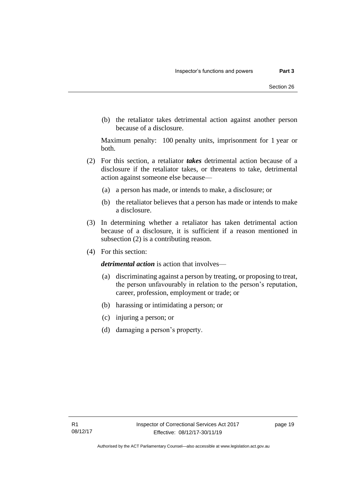(b) the retaliator takes detrimental action against another person because of a disclosure.

Maximum penalty: 100 penalty units, imprisonment for 1 year or both.

- (2) For this section, a retaliator *takes* detrimental action because of a disclosure if the retaliator takes, or threatens to take, detrimental action against someone else because—
	- (a) a person has made, or intends to make, a disclosure; or
	- (b) the retaliator believes that a person has made or intends to make a disclosure.
- (3) In determining whether a retaliator has taken detrimental action because of a disclosure, it is sufficient if a reason mentioned in subsection (2) is a contributing reason.
- (4) For this section:

*detrimental action* is action that involves—

- (a) discriminating against a person by treating, or proposing to treat, the person unfavourably in relation to the person's reputation, career, profession, employment or trade; or
- (b) harassing or intimidating a person; or
- (c) injuring a person; or
- (d) damaging a person's property.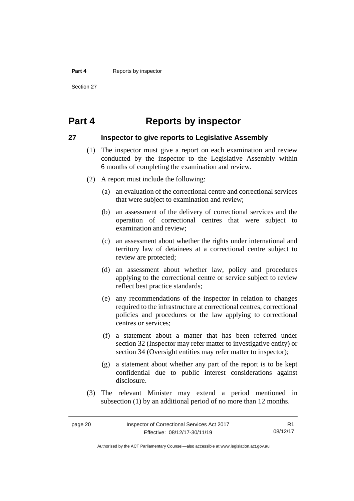### **Part 4** Reports by inspector

Section 27

# <span id="page-25-0"></span>**Part 4 Reports by inspector**

### <span id="page-25-1"></span>**27 Inspector to give reports to Legislative Assembly**

- (1) The inspector must give a report on each examination and review conducted by the inspector to the Legislative Assembly within 6 months of completing the examination and review.
- (2) A report must include the following:
	- (a) an evaluation of the correctional centre and correctional services that were subject to examination and review;
	- (b) an assessment of the delivery of correctional services and the operation of correctional centres that were subject to examination and review;
	- (c) an assessment about whether the rights under international and territory law of detainees at a correctional centre subject to review are protected;
	- (d) an assessment about whether law, policy and procedures applying to the correctional centre or service subject to review reflect best practice standards;
	- (e) any recommendations of the inspector in relation to changes required to the infrastructure at correctional centres, correctional policies and procedures or the law applying to correctional centres or services;
	- (f) a statement about a matter that has been referred under section 32 (Inspector may refer matter to investigative entity) or section 34 (Oversight entities may refer matter to inspector);
	- (g) a statement about whether any part of the report is to be kept confidential due to public interest considerations against disclosure.
- (3) The relevant Minister may extend a period mentioned in subsection (1) by an additional period of no more than 12 months.

R1 08/12/17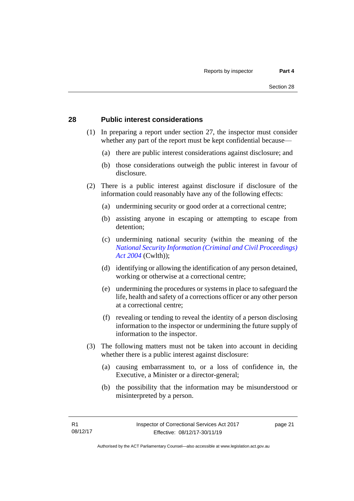### <span id="page-26-0"></span>**28 Public interest considerations**

- (1) In preparing a report under section 27, the inspector must consider whether any part of the report must be kept confidential because—
	- (a) there are public interest considerations against disclosure; and
	- (b) those considerations outweigh the public interest in favour of disclosure.
- (2) There is a public interest against disclosure if disclosure of the information could reasonably have any of the following effects:
	- (a) undermining security or good order at a correctional centre;
	- (b) assisting anyone in escaping or attempting to escape from detention;
	- (c) undermining national security (within the meaning of the *[National Security Information \(Criminal and Civil Proceedings\)](https://www.legislation.gov.au/Series/C2004A01385)  [Act 2004](https://www.legislation.gov.au/Series/C2004A01385)* (Cwlth));
	- (d) identifying or allowing the identification of any person detained, working or otherwise at a correctional centre;
	- (e) undermining the procedures or systems in place to safeguard the life, health and safety of a corrections officer or any other person at a correctional centre;
	- (f) revealing or tending to reveal the identity of a person disclosing information to the inspector or undermining the future supply of information to the inspector.
- (3) The following matters must not be taken into account in deciding whether there is a public interest against disclosure:
	- (a) causing embarrassment to, or a loss of confidence in, the Executive, a Minister or a director-general;
	- (b) the possibility that the information may be misunderstood or misinterpreted by a person.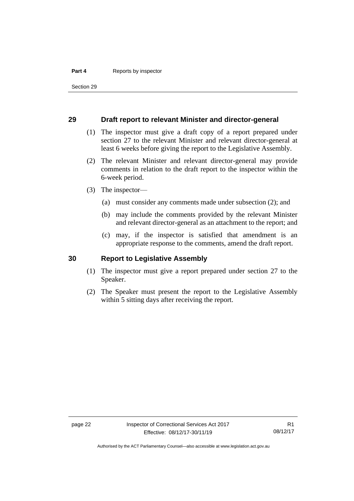### **Part 4** Reports by inspector

Section 29

### <span id="page-27-0"></span>**29 Draft report to relevant Minister and director-general**

- (1) The inspector must give a draft copy of a report prepared under section 27 to the relevant Minister and relevant director-general at least 6 weeks before giving the report to the Legislative Assembly.
- (2) The relevant Minister and relevant director-general may provide comments in relation to the draft report to the inspector within the 6-week period.
- (3) The inspector—
	- (a) must consider any comments made under subsection (2); and
	- (b) may include the comments provided by the relevant Minister and relevant director-general as an attachment to the report; and
	- (c) may, if the inspector is satisfied that amendment is an appropriate response to the comments, amend the draft report.

### <span id="page-27-1"></span>**30 Report to Legislative Assembly**

- (1) The inspector must give a report prepared under section 27 to the Speaker.
- (2) The Speaker must present the report to the Legislative Assembly within 5 sitting days after receiving the report.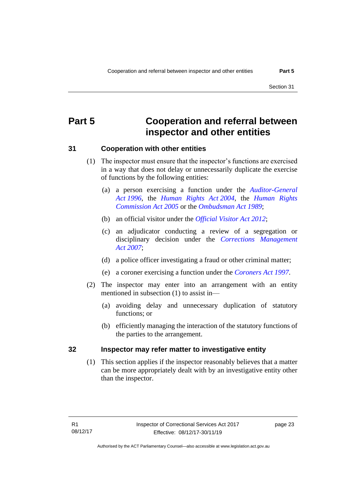# <span id="page-28-0"></span>**Part 5 Cooperation and referral between inspector and other entities**

### <span id="page-28-1"></span>**31 Cooperation with other entities**

- (1) The inspector must ensure that the inspector's functions are exercised in a way that does not delay or unnecessarily duplicate the exercise of functions by the following entities:
	- (a) a person exercising a function under the *[Auditor-General](http://www.legislation.act.gov.au/a/1996-23)  Act [1996](http://www.legislation.act.gov.au/a/1996-23)*, the *[Human Rights Act](http://www.legislation.act.gov.au/a/2004-5) 2004*, the *[Human Rights](http://www.legislation.act.gov.au/a/2005-40)  [Commission Act](http://www.legislation.act.gov.au/a/2005-40) 2005* or the *[Ombudsman Act](http://www.legislation.act.gov.au/a/alt_a1989-45co) 1989*;
	- (b) an official visitor under the *[Official Visitor Act 2012](http://www.legislation.act.gov.au/a/2012-33)*;
	- (c) an adjudicator conducting a review of a segregation or disciplinary decision under the *[Corrections Management](http://www.legislation.act.gov.au/a/2007-15)  Act [2007](http://www.legislation.act.gov.au/a/2007-15)*;
	- (d) a police officer investigating a fraud or other criminal matter;
	- (e) a coroner exercising a function under the *[Coroners Act](http://www.legislation.act.gov.au/a/1997-57) 1997*.
- (2) The inspector may enter into an arrangement with an entity mentioned in subsection (1) to assist in—
	- (a) avoiding delay and unnecessary duplication of statutory functions; or
	- (b) efficiently managing the interaction of the statutory functions of the parties to the arrangement.

### <span id="page-28-2"></span>**32 Inspector may refer matter to investigative entity**

(1) This section applies if the inspector reasonably believes that a matter can be more appropriately dealt with by an investigative entity other than the inspector.

Authorised by the ACT Parliamentary Counsel—also accessible at www.legislation.act.gov.au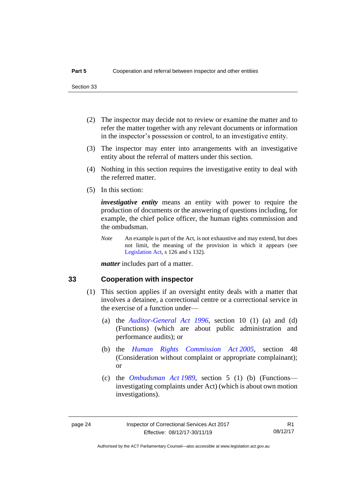Section 33

- (2) The inspector may decide not to review or examine the matter and to refer the matter together with any relevant documents or information in the inspector's possession or control, to an investigative entity.
- (3) The inspector may enter into arrangements with an investigative entity about the referral of matters under this section.
- (4) Nothing in this section requires the investigative entity to deal with the referred matter.
- (5) In this section:

*investigative entity* means an entity with power to require the production of documents or the answering of questions including, for example, the chief police officer, the human rights commission and the ombudsman.

*Note* An example is part of the Act, is not exhaustive and may extend, but does not limit, the meaning of the provision in which it appears (see [Legislation Act,](http://www.legislation.act.gov.au/a/2001-14) s 126 and s 132).

*matter* includes part of a matter.

### <span id="page-29-0"></span>**33 Cooperation with inspector**

- (1) This section applies if an oversight entity deals with a matter that involves a detainee, a correctional centre or a correctional service in the exercise of a function under—
	- (a) the *[Auditor-General Act 1996](http://www.legislation.act.gov.au/a/1996-23)*, section 10 (1) (a) and (d) (Functions) (which are about public administration and performance audits); or
	- (b) the *[Human Rights Commission Act](http://www.legislation.act.gov.au/a/2005-40) 2005*, section 48 (Consideration without complaint or appropriate complainant); or
	- (c) the *[Ombudsman Act](http://www.legislation.act.gov.au/a/alt_a1989-45co) 1989*, section 5 (1) (b) (Functions investigating complaints under Act) (which is about own motion investigations).

R1 08/12/17

Authorised by the ACT Parliamentary Counsel—also accessible at www.legislation.act.gov.au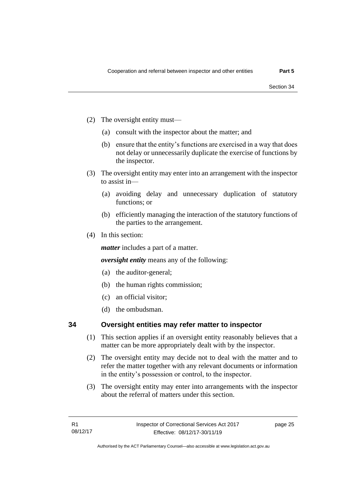- (2) The oversight entity must—
	- (a) consult with the inspector about the matter; and
	- (b) ensure that the entity's functions are exercised in a way that does not delay or unnecessarily duplicate the exercise of functions by the inspector.
- (3) The oversight entity may enter into an arrangement with the inspector to assist in—
	- (a) avoiding delay and unnecessary duplication of statutory functions; or
	- (b) efficiently managing the interaction of the statutory functions of the parties to the arrangement.
- (4) In this section:

*matter* includes a part of a matter.

*oversight entity* means any of the following:

- (a) the auditor-general;
- (b) the human rights commission;
- (c) an official visitor;
- (d) the ombudsman.

### <span id="page-30-0"></span>**34 Oversight entities may refer matter to inspector**

- (1) This section applies if an oversight entity reasonably believes that a matter can be more appropriately dealt with by the inspector.
- (2) The oversight entity may decide not to deal with the matter and to refer the matter together with any relevant documents or information in the entity's possession or control, to the inspector.
- (3) The oversight entity may enter into arrangements with the inspector about the referral of matters under this section.

Authorised by the ACT Parliamentary Counsel—also accessible at www.legislation.act.gov.au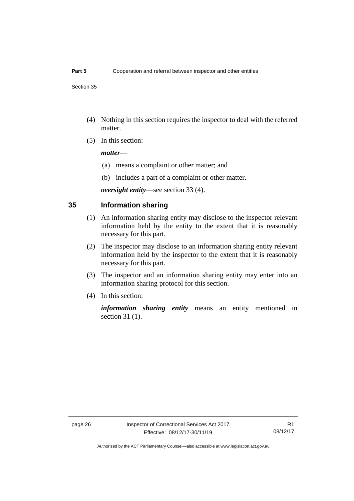Section 35

- (4) Nothing in this section requires the inspector to deal with the referred matter.
- (5) In this section:

### *matter*—

- (a) means a complaint or other matter; and
- (b) includes a part of a complaint or other matter.

*oversight entity*—see section 33 (4).

### <span id="page-31-0"></span>**35 Information sharing**

- (1) An information sharing entity may disclose to the inspector relevant information held by the entity to the extent that it is reasonably necessary for this part.
- (2) The inspector may disclose to an information sharing entity relevant information held by the inspector to the extent that it is reasonably necessary for this part.
- (3) The inspector and an information sharing entity may enter into an information sharing protocol for this section.
- (4) In this section:

*information sharing entity* means an entity mentioned in section 31 (1).

Authorised by the ACT Parliamentary Counsel—also accessible at www.legislation.act.gov.au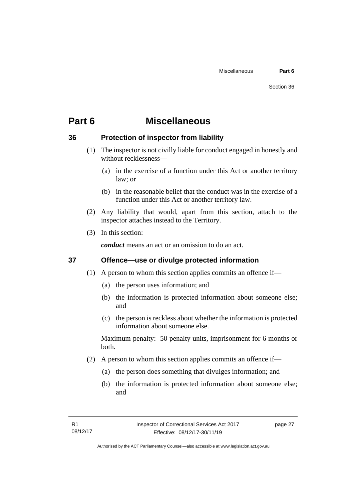# <span id="page-32-0"></span>**Part 6 Miscellaneous**

### <span id="page-32-1"></span>**36 Protection of inspector from liability**

- (1) The inspector is not civilly liable for conduct engaged in honestly and without recklessness—
	- (a) in the exercise of a function under this Act or another territory law; or
	- (b) in the reasonable belief that the conduct was in the exercise of a function under this Act or another territory law.
- (2) Any liability that would, apart from this section, attach to the inspector attaches instead to the Territory.
- (3) In this section:

*conduct* means an act or an omission to do an act.

### <span id="page-32-2"></span>**37 Offence—use or divulge protected information**

- (1) A person to whom this section applies commits an offence if—
	- (a) the person uses information; and
	- (b) the information is protected information about someone else; and
	- (c) the person is reckless about whether the information is protected information about someone else.

Maximum penalty: 50 penalty units, imprisonment for 6 months or both.

- (2) A person to whom this section applies commits an offence if—
	- (a) the person does something that divulges information; and
	- (b) the information is protected information about someone else; and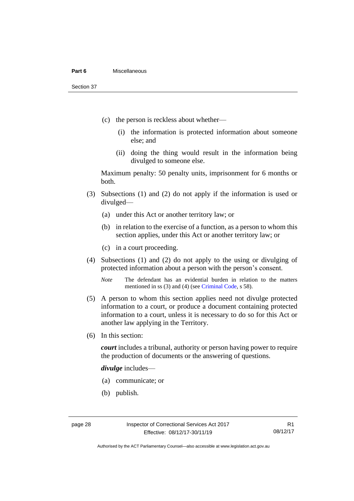### **Part 6** Miscellaneous

Section 37

- (c) the person is reckless about whether—
	- (i) the information is protected information about someone else; and
	- (ii) doing the thing would result in the information being divulged to someone else.

Maximum penalty: 50 penalty units, imprisonment for 6 months or both.

- (3) Subsections (1) and (2) do not apply if the information is used or divulged—
	- (a) under this Act or another territory law; or
	- (b) in relation to the exercise of a function, as a person to whom this section applies, under this Act or another territory law; or
	- (c) in a court proceeding.
- (4) Subsections (1) and (2) do not apply to the using or divulging of protected information about a person with the person's consent.

*Note* The defendant has an evidential burden in relation to the matters mentioned in ss (3) and (4) (see [Criminal Code,](http://www.legislation.act.gov.au/a/2002-51) s 58).

- (5) A person to whom this section applies need not divulge protected information to a court, or produce a document containing protected information to a court, unless it is necessary to do so for this Act or another law applying in the Territory.
- (6) In this section:

*court* includes a tribunal, authority or person having power to require the production of documents or the answering of questions.

*divulge* includes—

- (a) communicate; or
- (b) publish.

R1 08/12/17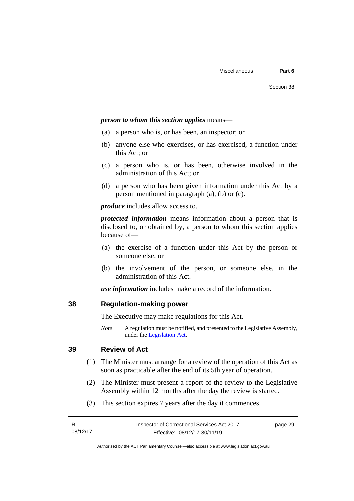### *person to whom this section applies* means—

- (a) a person who is, or has been, an inspector; or
- (b) anyone else who exercises, or has exercised, a function under this Act; or
- (c) a person who is, or has been, otherwise involved in the administration of this Act; or
- (d) a person who has been given information under this Act by a person mentioned in paragraph (a), (b) or (c).

*produce* includes allow access to.

*protected information* means information about a person that is disclosed to, or obtained by, a person to whom this section applies because of—

- (a) the exercise of a function under this Act by the person or someone else; or
- (b) the involvement of the person, or someone else, in the administration of this Act.

*use information* includes make a record of the information.

### <span id="page-34-0"></span>**38 Regulation-making power**

The Executive may make regulations for this Act.

*Note* A regulation must be notified, and presented to the Legislative Assembly, under the [Legislation Act.](http://www.legislation.act.gov.au/a/2001-14)

### <span id="page-34-1"></span>**39 Review of Act**

- (1) The Minister must arrange for a review of the operation of this Act as soon as practicable after the end of its 5th year of operation.
- (2) The Minister must present a report of the review to the Legislative Assembly within 12 months after the day the review is started.
- (3) This section expires 7 years after the day it commences.

| - R1     | Inspector of Correctional Services Act 2017 | page 29 |
|----------|---------------------------------------------|---------|
| 08/12/17 | Effective: 08/12/17-30/11/19                |         |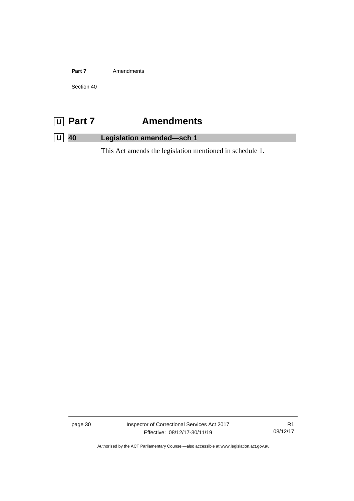Part 7 **Amendments** 

Section 40

# <span id="page-35-0"></span>**U Part 7 Amendments**

## <span id="page-35-1"></span>**U 40 Legislation amended—sch 1**

This Act amends the legislation mentioned in schedule 1.

page 30 Inspector of Correctional Services Act 2017 Effective: 08/12/17-30/11/19

R1 08/12/17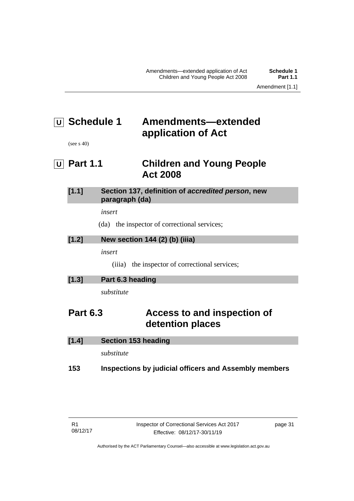# <span id="page-36-0"></span>**U Schedule 1 Amendments—extended application of Act**

(see s 40)

<span id="page-36-1"></span>**U Part 1.1 Children and Young People Act 2008**

| $[1.1]$ | Section 137, definition of accredited person, new |
|---------|---------------------------------------------------|
|         | paragraph (da)                                    |

*insert*

(da) the inspector of correctional services;

### **[1.2] New section 144 (2) (b) (iiia)**

*insert*

(iiia) the inspector of correctional services;

| [1.3]<br>Part 6.3 heading |
|---------------------------|
|---------------------------|

*substitute*

# **Part 6.3 Access to and inspection of detention places**

| [1.4] | <b>Section 153 heading</b> |
|-------|----------------------------|
|       | substitute                 |

### **153 Inspections by judicial officers and Assembly members**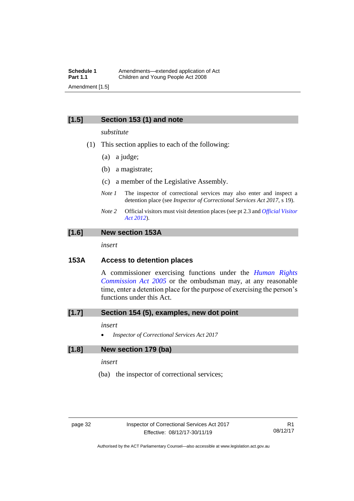### **[1.5] Section 153 (1) and note**

### *substitute*

- (1) This section applies to each of the following:
	- (a) a judge;
	- (b) a magistrate;
	- (c) a member of the Legislative Assembly.
	- *Note 1* The inspector of correctional services may also enter and inspect a detention place (see *Inspector of Correctional Services Act 2017*, s 19).
	- *Note 2* Official visitors must visit detention places (see pt 2.3 and *[Official Visitor](http://www.legislation.act.gov.au/a/2012-33)  [Act 2012](http://www.legislation.act.gov.au/a/2012-33)*).

### **[1.6] New section 153A**

*insert*

### **153A Access to detention places**

A commissioner exercising functions under the *[Human Rights](http://www.legislation.act.gov.au/a/2005-40)  [Commission Act 2005](http://www.legislation.act.gov.au/a/2005-40)* or the ombudsman may, at any reasonable time, enter a detention place for the purpose of exercising the person's functions under this Act.

### **[1.7] Section 154 (5), examples, new dot point**

### *insert*

• *Inspector of Correctional Services Act 2017*

### **[1.8] New section 179 (ba)**

*insert*

(ba) the inspector of correctional services;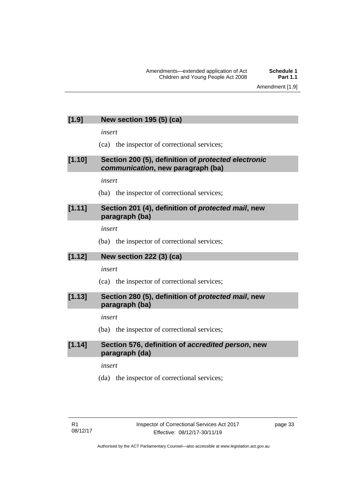### **[1.9] New section 195 (5) (ca)**

*insert*

(ca) the inspector of correctional services;

### **[1.10] Section 200 (5), definition of** *protected electronic communication***, new paragraph (ba)**

*insert*

(ba) the inspector of correctional services;

### **[1.11] Section 201 (4), definition of** *protected mail***, new paragraph (ba)**

*insert*

(ba) the inspector of correctional services;

### **[1.12] New section 222 (3) (ca)**

*insert*

(ca) the inspector of correctional services;

### **[1.13] Section 280 (5), definition of** *protected mail***, new paragraph (ba)**

### *insert*

(ba) the inspector of correctional services;

### **[1.14] Section 576, definition of** *accredited person***, new paragraph (da)**

*insert*

(da) the inspector of correctional services;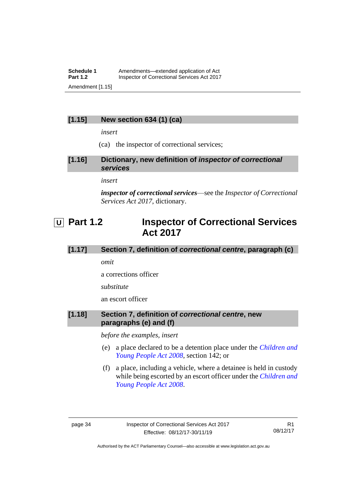### **Schedule 1** Amendments—extended application of Act<br>**Part 1.2** Inspector of Correctional Services Act 2017 **Inspector of Correctional Services Act 2017** Amendment [1.15]

### **[1.15] New section 634 (1) (ca)**

*insert*

(ca) the inspector of correctional services;

**[1.16] Dictionary, new definition of** *inspector of correctional services*

*insert*

*inspector of correctional services*—see the *Inspector of Correctional Services Act 2017*, dictionary.

# <span id="page-39-0"></span>**U Part 1.2 Inspector of Correctional Services Act 2017**

### **[1.17] Section 7, definition of** *correctional centre***, paragraph (c)**

*omit*

a corrections officer

*substitute*

an escort officer

### **[1.18] Section 7, definition of** *correctional centre***, new paragraphs (e) and (f)**

*before the examples, insert*

- (e) a place declared to be a detention place under the *[Children and](http://www.legislation.act.gov.au/a/2008-19)  [Young People Act 2008](http://www.legislation.act.gov.au/a/2008-19)*, section 142; or
- (f) a place, including a vehicle, where a detainee is held in custody while being escorted by an escort officer under the *[Children and](http://www.legislation.act.gov.au/a/2008-19)  [Young People Act 2008](http://www.legislation.act.gov.au/a/2008-19)*.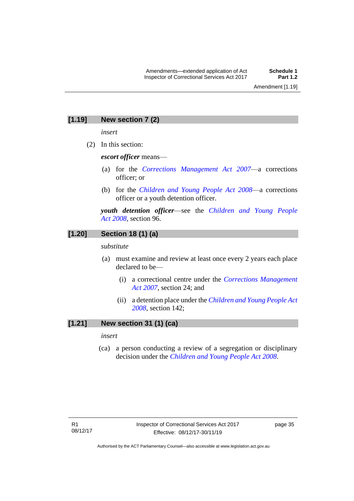### **[1.19] New section 7 (2)**

*insert*

(2) In this section:

*escort officer* means—

- (a) for the *[Corrections Management Act 2007](http://www.legislation.act.gov.au/a/2007-15)*—a corrections officer; or
- (b) for the *[Children and Young People Act 2008](http://www.legislation.act.gov.au/a/2008-19)*—a corrections officer or a youth detention officer.

*youth detention officer*—see the *[Children and Young People](http://www.legislation.act.gov.au/a/2008-19)  Act [2008](http://www.legislation.act.gov.au/a/2008-19)*, section 96.

### **[1.20] Section 18 (1) (a)**

*substitute*

- (a) must examine and review at least once every 2 years each place declared to be—
	- (i) a correctional centre under the *[Corrections Management](http://www.legislation.act.gov.au/a/2007-15)  [Act 2007](http://www.legislation.act.gov.au/a/2007-15)*, section 24; and
	- (ii) a detention place under the *[Children and Young People Act](http://www.legislation.act.gov.au/a/2008-19)  [2008,](http://www.legislation.act.gov.au/a/2008-19)* section 142;

### **[1.21] New section 31 (1) (ca)**

*insert*

(ca) a person conducting a review of a segregation or disciplinary decision under the *[Children and Young People Act 2008](http://www.legislation.act.gov.au/a/2008-19)*.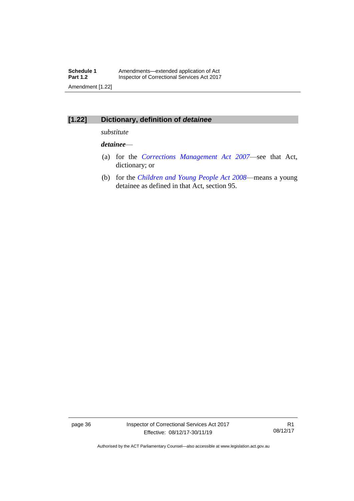## **[1.22] Dictionary, definition of** *detainee*

*substitute*

### *detainee*—

- (a) for the *[Corrections Management Act 2007](http://www.legislation.act.gov.au/a/2007-15)*—see that Act, dictionary; or
- (b) for the *[Children and Young People Act 2008](http://www.legislation.act.gov.au/a/2008-19)*—means a young detainee as defined in that Act, section 95.

page 36 Inspector of Correctional Services Act 2017 Effective: 08/12/17-30/11/19

R1 08/12/17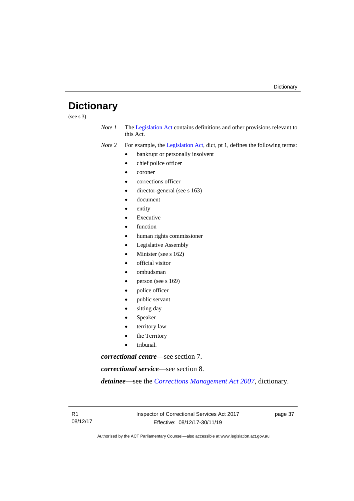# <span id="page-42-0"></span>**Dictionary**

(see s 3)

*Note 1* The [Legislation Act](http://www.legislation.act.gov.au/a/2001-14) contains definitions and other provisions relevant to this Act.

*Note 2* For example, the [Legislation Act,](http://www.legislation.act.gov.au/a/2001-14) dict, pt 1, defines the following terms:

- bankrupt or personally insolvent
- chief police officer
- coroner
- corrections officer
- director-general (see s 163)
- document
- entity
- **Executive**
- function
- human rights commissioner
- Legislative Assembly
- Minister (see s 162)
- official visitor
- ombudsman
- person (see s 169)
- police officer
- public servant
- sitting day
- **Speaker**
- territory law
- the Territory
- tribunal.

*correctional centre*—see section 7.

*correctional service*—see section 8.

*detainee*—see the *[Corrections Management Act 2007](http://www.legislation.act.gov.au/a/2007-15)*, dictionary.

Authorised by the ACT Parliamentary Counsel—also accessible at www.legislation.act.gov.au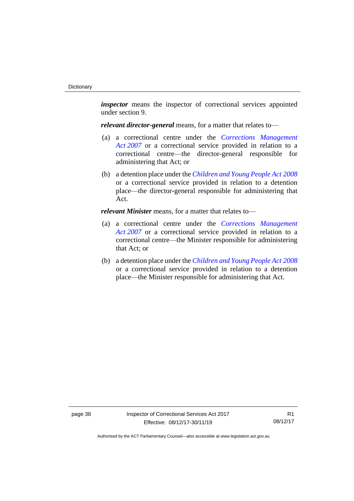*inspector* means the inspector of correctional services appointed under section 9.

*relevant director-general* means, for a matter that relates to—

- (a) a correctional centre under the *[Corrections Management](http://www.legislation.act.gov.au/a/2007-15)  Act [2007](http://www.legislation.act.gov.au/a/2007-15)* or a correctional service provided in relation to a correctional centre—the director-general responsible for administering that Act; or
- (b) a detention place under the *[Children and Young People Act](http://www.legislation.act.gov.au/a/2008-19) 2008* or a correctional service provided in relation to a detention place—the director-general responsible for administering that Act.

*relevant Minister* means, for a matter that relates to—

- (a) a correctional centre under the *[Corrections Management](http://www.legislation.act.gov.au/a/2007-15)  Act [2007](http://www.legislation.act.gov.au/a/2007-15)* or a correctional service provided in relation to a correctional centre—the Minister responsible for administering that Act; or
- (b) a detention place under the *[Children and Young People Act](http://www.legislation.act.gov.au/a/2008-19) 2008* or a correctional service provided in relation to a detention place—the Minister responsible for administering that Act.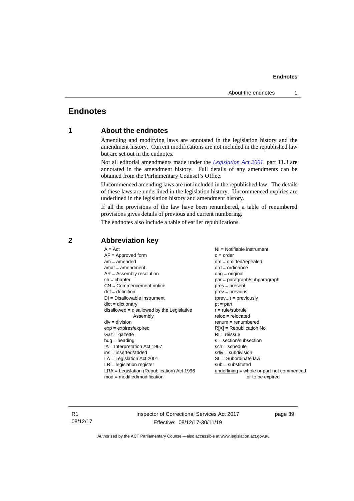### **Endnotes**

### <span id="page-44-1"></span><span id="page-44-0"></span>**Endnotes**

### **1 About the endnotes**

Amending and modifying laws are annotated in the legislation history and the amendment history. Current modifications are not included in the republished law but are set out in the endnotes.

Not all editorial amendments made under the *[Legislation Act 2001](http://www.legislation.act.gov.au/a/2001-14)*, part 11.3 are annotated in the amendment history. Full details of any amendments can be obtained from the Parliamentary Counsel's Office.

Uncommenced amending laws are not included in the republished law. The details of these laws are underlined in the legislation history. Uncommenced expiries are underlined in the legislation history and amendment history.

If all the provisions of the law have been renumbered, a table of renumbered provisions gives details of previous and current numbering.

The endnotes also include a table of earlier republications.

| $A = Act$                                    | $NI =$ Notifiable instrument              |
|----------------------------------------------|-------------------------------------------|
| $AF =$ Approved form                         | $o = order$                               |
| $am = amended$                               | $om = omitted/report$                     |
| $amdt = amendment$                           | $ord = ordinance$                         |
| $AR = Assembly resolution$                   | $orig = original$                         |
| $ch = chapter$                               | $par = paragraph/subparagraph$            |
| $CN =$ Commencement notice                   | $pres = present$                          |
| $def = definition$                           | $prev = previous$                         |
| $DI = Disallowable instrument$               | $(\text{prev}) = \text{previously}$       |
| $dict = dictionary$                          | $pt = part$                               |
| disallowed = disallowed by the Legislative   | $r = rule/subrule$                        |
| Assembly                                     | $reloc = relocated$                       |
| $div =$ division                             | $remum = renumbered$                      |
| $exp = expires/expired$                      | $R[X]$ = Republication No                 |
| $Gaz = gazette$                              | $RI = reissue$                            |
| $hdg =$ heading                              | $s = section/subsection$                  |
| $IA = Interpretation Act 1967$               | $sch = schedule$                          |
| $ins = inserted/added$                       | $sdiv = subdivision$                      |
| $LA =$ Legislation Act 2001                  | $SL = Subordinate$ law                    |
| $LR =$ legislation register                  | $sub =$ substituted                       |
| $LRA =$ Legislation (Republication) Act 1996 | underlining = whole or part not commenced |
| $mod = modified/modification$                | or to be expired                          |
|                                              |                                           |

### <span id="page-44-2"></span>**2 Abbreviation key**

R1 08/12/17 Inspector of Correctional Services Act 2017 Effective: 08/12/17-30/11/19

page 39